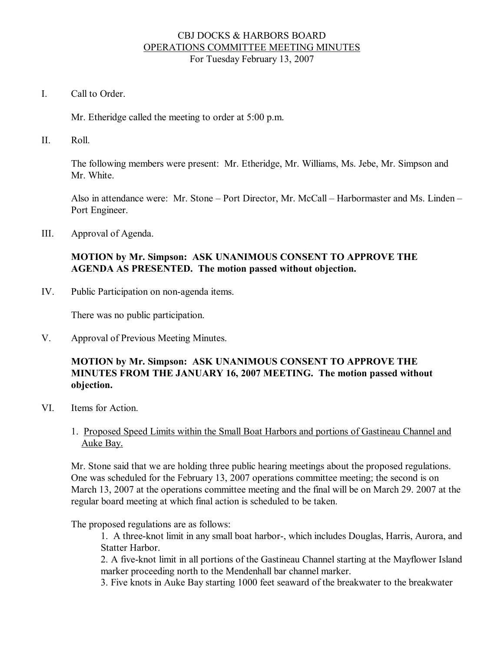### CBJ DOCKS & HARBORS BOARD OPERATIONS COMMITTEE MEETING MINUTES For Tuesday February 13, 2007

I. Call to Order

Mr. Etheridge called the meeting to order at 5:00 p.m.

II. Roll.

The following members were present: Mr. Etheridge, Mr. Williams, Ms. Jebe, Mr. Simpson and Mr. White.

Also in attendance were: Mr. Stone – Port Director, Mr. McCall – Harbormaster and Ms. Linden – Port Engineer.

III. Approval of Agenda.

# **MOTION by Mr. Simpson: ASK UNANIMOUS CONSENT TO APPROVE THE AGENDA AS PRESENTED. The motion passed without objection.**

IV. Public Participation on non-agenda items.

There was no public participation.

V. Approval of Previous Meeting Minutes.

### **MOTION by Mr. Simpson: ASK UNANIMOUS CONSENT TO APPROVE THE MINUTES FROM THE JANUARY 16,2007 MEETING. The motion passed without objection.**

- VI. Items for Action.
	- 1. Proposed Speed Limits within the Small Boat Harbors and portions of Gastineau Channel and Auke Bay.

Mr. Stone said that we are holding three public hearing meetings about the proposed regulations. One was scheduled for the February 13, 2007 operations committee meeting; the second is on March 13, 2007 at the operations committee meeting and the final will be on March 29. 2007 at the regular board meeting at which final action is scheduled to be taken.

The proposed regulations are as follows:

1. A threeknot limit in any small boat harbor, which includes Douglas, Harris, Aurora, and Statter Harbor.

2. A five-knot limit in all portions of the Gastineau Channel starting at the Mayflower Island marker proceeding north to the Mendenhall bar channel marker.

3. Five knots in Auke Bay starting 1000 feet seaward of the breakwater to the breakwater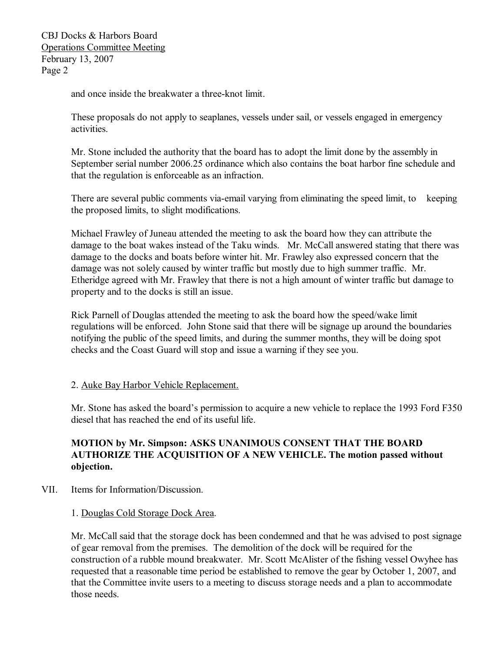CBJ Docks & Harbors Board Operations Committee Meeting February 13, 2007 Page 2

and once inside the breakwater a three-knot limit.

These proposals do not apply to seaplanes, vessels under sail, or vessels engaged in emergency activities.

Mr. Stone included the authority that the board has to adopt the limit done by the assembly in September serial number 2006.25 ordinance which also contains the boat harbor fine schedule and that the regulation is enforceable as an infraction.

There are several public comments via-email varying from eliminating the speed limit, to keeping the proposed limits, to slight modifications.

Michael Frawley of Juneau attended the meeting to ask the board how they can attribute the damage to the boat wakes instead of the Taku winds. Mr. McCall answered stating that there was damage to the docks and boats before winter hit. Mr. Frawley also expressed concern that the damage was not solely caused by winter traffic but mostly due to high summer traffic. Mr. Etheridge agreed with Mr. Frawley that there is not a high amount of winter traffic but damage to property and to the docks is still an issue.

Rick Parnell of Douglas attended the meeting to ask the board how the speed/wake limit regulations will be enforced. John Stone said that there will be signage up around the boundaries notifying the public of the speed limits, and during the summer months, they will be doing spot checks and the Coast Guard will stop and issue a warning if they see you.

#### 2. Auke Bay Harbor Vehicle Replacement.

Mr. Stone has asked the board's permission to acquire a new vehicle to replace the 1993 Ford F350 diesel that has reached the end of its useful life.

### **MOTION by Mr. Simpson: ASKS UNANIMOUS CONSENT THAT THE BOARD AUTHORIZE THE ACQUISITION OF A NEW VEHICLE. The motion passed without objection.**

- VII. Items for Information/Discussion.
	- 1. Douglas Cold Storage Dock Area.

Mr. McCall said that the storage dock has been condemned and that he was advised to post signage of gear removal from the premises. The demolition of the dock will be required for the construction of a rubble mound breakwater. Mr. Scott McAlister of the fishing vessel Owyhee has requested that a reasonable time period be established to remove the gear by October 1, 2007, and that the Committee invite users to a meeting to discuss storage needs and a plan to accommodate those needs.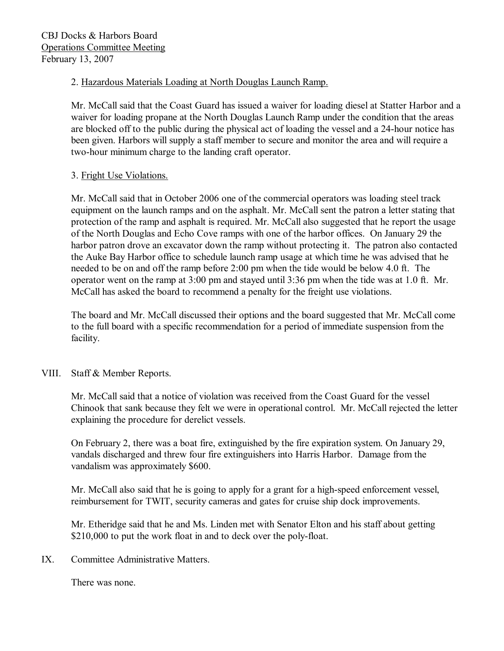# 2. Hazardous Materials Loading at North Douglas Launch Ramp.

Mr. McCall said that the Coast Guard has issued a waiver for loading diesel at Statter Harbor and a waiver for loading propane at the North Douglas Launch Ramp under the condition that the areas are blocked off to the public during the physical act of loading the vessel and a 24-hour notice has been given. Harbors will supply a staff member to secure and monitor the area and will require a two-hour minimum charge to the landing craft operator.

# 3. Fright Use Violations.

Mr. McCall said that in October 2006 one of the commercial operators was loading steel track equipment on the launch ramps and on the asphalt. Mr. McCall sent the patron a letter stating that protection of the ramp and asphalt is required. Mr. McCall also suggested that he report the usage of the North Douglas and Echo Cove ramps with one of the harbor offices. On January 29 the harbor patron drove an excavator down the ramp without protecting it. The patron also contacted the Auke Bay Harbor office to schedule launch ramp usage at which time he was advised that he needed to be on and off the ramp before 2:00 pm when the tide would be below 4.0 ft. The operator went on the ramp at 3:00 pm and stayed until 3:36 pm when the tide was at 1.0 ft. Mr. McCall has asked the board to recommend a penalty for the freight use violations.

The board and Mr. McCall discussed their options and the board suggested that Mr. McCall come to the full board with a specific recommendation for a period of immediate suspension from the facility.

### VIII. Staff & Member Reports.

Mr. McCall said that a notice of violation was received from the Coast Guard for the vessel Chinook that sank because they felt we were in operational control. Mr. McCall rejected the letter explaining the procedure for derelict vessels.

On February 2, there was a boat fire, extinguished by the fire expiration system. On January 29, vandals discharged and threw four fire extinguishers into Harris Harbor. Damage from the vandalism was approximately \$600.

Mr. McCall also said that he is going to apply for a grant for a high-speed enforcement vessel, reimbursement for TWIT, security cameras and gates for cruise ship dock improvements.

Mr. Etheridge said that he and Ms. Linden met with Senator Elton and his staff about getting \$210,000 to put the work float in and to deck over the poly-float.

IX. Committee Administrative Matters.

There was none.